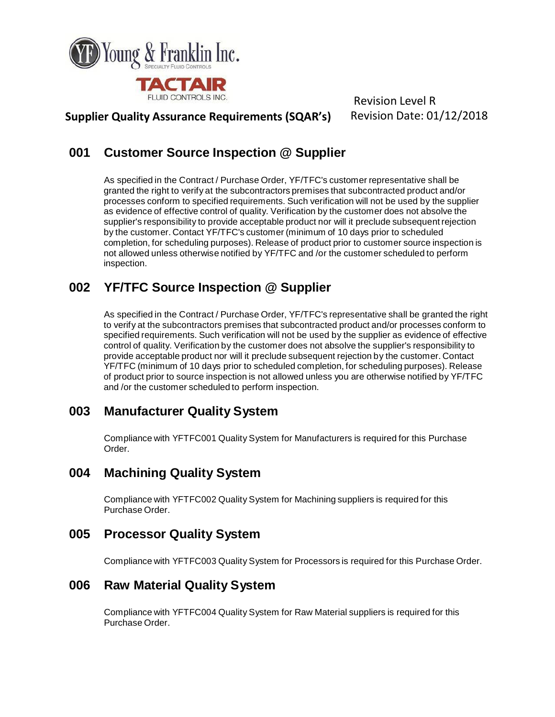

**Supplier Quality Assurance Requirements (SQAR's)** Revision Date: 01/12/2018

# **001 Customer Source Inspection @ Supplier**

As specified in the Contract / Purchase Order, YF/TFC's customer representative shall be granted the right to verify at the subcontractors premises that subcontracted product and/or processes conform to specified requirements. Such verification will not be used by the supplier as evidence of effective control of quality. Verification by the customer does not absolve the supplier's responsibility to provide acceptable product nor will it preclude subsequent rejection by the customer. Contact YF/TFC's customer (minimum of 10 days prior to scheduled completion, for scheduling purposes). Release of product prior to customer source inspection is not allowed unless otherwise notified by YF/TFC and /or the customer scheduled to perform inspection.

# **002 YF/TFC Source Inspection @ Supplier**

As specified in the Contract / Purchase Order, YF/TFC's representative shall be granted the right to verify at the subcontractors premises that subcontracted product and/or processes conform to specified requirements. Such verification will not be used by the supplier as evidence of effective control of quality. Verification by the customer does not absolve the supplier's responsibility to provide acceptable product nor will it preclude subsequent rejection by the customer. Contact YF/TFC (minimum of 10 days prior to scheduled completion, for scheduling purposes). Release of product prior to source inspection is not allowed unless you are otherwise notified by YF/TFC and /or the customer scheduled to perform inspection.

## **003 Manufacturer Quality System**

Compliance with YFTFC001 Quality System for Manufacturers is required for this Purchase Order.

## **004 Machining Quality System**

Compliance with YFTFC002 Quality System for Machining suppliers is required for this Purchase Order.

## **005 Processor Quality System**

Compliance with YFTFC003 Quality System for Processors is required for this Purchase Order.

### **006 Raw Material Quality System**

Compliance with YFTFC004 Quality System for Raw Material suppliers is required for this Purchase Order.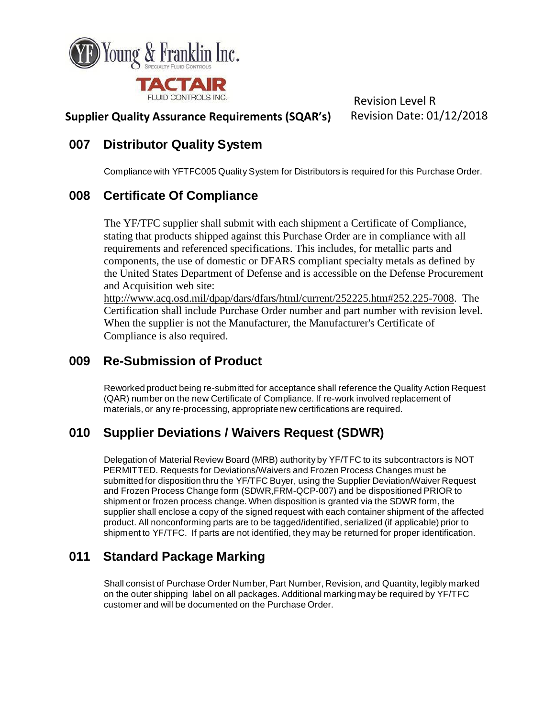

#### **Supplier Quality Assurance Requirements (SQAR's)** Revision Date: 01/12/2018

### **007 Distributor Quality System**

Compliance with YFTFC005 Quality System for Distributors is required for this Purchase Order.

### **008 Certificate Of Compliance**

The YF/TFC supplier shall submit with each shipment a Certificate of Compliance, stating that products shipped against this Purchase Order are in compliance with all requirements and referenced specifications. This includes, for metallic parts and components, the use of domestic or DFARS compliant specialty metals as defined by the United States Department of Defense and is accessible on the Defense Procurement and Acquisition web site:

[http://www.acq.osd.mil/dpap/dars/dfars/html/current/252225.htm#252.225-7008.](http://www.acq.osd.mil/dpap/dars/dfars/html/current/252225.htm#252.225-7008) The Certification shall include Purchase Order number and part number with revision level. When the supplier is not the Manufacturer, the Manufacturer's Certificate of Compliance is also required.

### **009 Re-Submission of Product**

Reworked product being re-submitted for acceptance shall reference the Quality Action Request (QAR) number on the new Certificate of Compliance. If re-work involved replacement of materials, or any re-processing, appropriate new certifications are required.

## **010 Supplier Deviations / Waivers Request (SDWR)**

Delegation of Material Review Board (MRB) authority by YF/TFC to its subcontractors is NOT PERMITTED. Requests for Deviations/Waivers and Frozen Process Changes must be submitted for disposition thru the YF/TFC Buyer, using the Supplier Deviation/Waiver Request and Frozen Process Change form (SDWR,FRM-QCP-007) and be dispositioned PRIOR to shipment or frozen process change. When disposition is granted via the SDWR form, the supplier shall enclose a copy of the signed request with each container shipment of the affected product. All nonconforming parts are to be tagged/identified, serialized (if applicable) prior to shipment to YF/TFC. If parts are not identified, they may be returned for proper identification.

# **011 Standard Package Marking**

Shall consist of Purchase Order Number, Part Number, Revision, and Quantity, legibly marked on the outer shipping label on all packages. Additional marking may be required by YF/TFC customer and will be documented on the Purchase Order.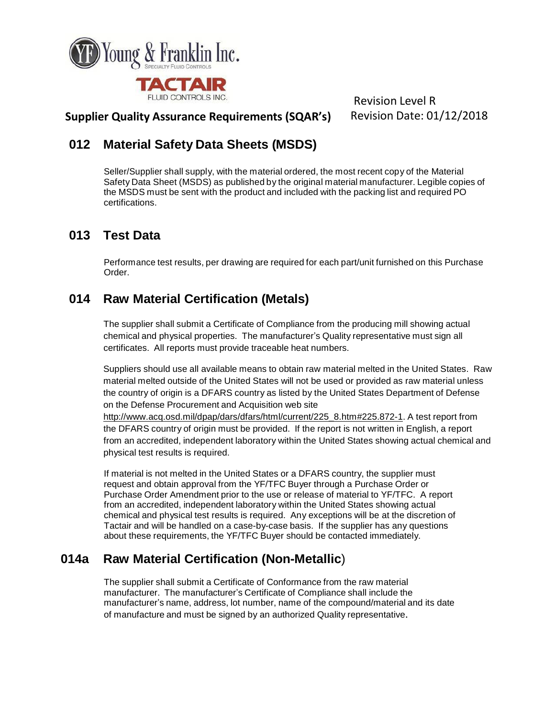

#### **Supplier Quality Assurance Requirements (SQAR's)** Revision Date: 01/12/2018

## **012 Material Safety Data Sheets (MSDS)**

Seller/Supplier shall supply, with the material ordered, the most recent copy of the Material Safety Data Sheet (MSDS) as published by the original material manufacturer. Legible copies of the MSDS must be sent with the product and included with the packing list and required PO certifications.

## **013 Test Data**

Performance test results, per drawing are required for each part/unit furnished on this Purchase Order.

## **014 Raw Material Certification (Metals)**

The supplier shall submit a Certificate of Compliance from the producing mill showing actual chemical and physical properties. The manufacturer's Quality representative must sign all certificates. All reports must provide traceable heat numbers.

Suppliers should use all available means to obtain raw material melted in the United States. Raw material melted outside of the United States will not be used or provided as raw material unless the country of origin is a DFARS country as listed by the United States Department of Defense on the Defense Procurement and Acquisition web site

[http://www.acq.osd.mil/dpap/dars/dfars/html/current/225\\_8.htm#225.872-1.](http://www.acq.osd.mil/dpap/dars/dfars/html/current/225_8.htm#225.872-1) A test report from the DFARS country of origin must be provided. If the report is not written in English, a report from an accredited, independent laboratory within the United States showing actual chemical and physical test results is required.

If material is not melted in the United States or a DFARS country, the supplier must request and obtain approval from the YF/TFC Buyer through a Purchase Order or Purchase Order Amendment prior to the use or release of material to YF/TFC. A report from an accredited, independent laboratory within the United States showing actual chemical and physical test results is required. Any exceptions will be at the discretion of Tactair and will be handled on a case-by-case basis. If the supplier has any questions about these requirements, the YF/TFC Buyer should be contacted immediately.

## **014a Raw Material Certification (Non-Metallic**)

The supplier shall submit a Certificate of Conformance from the raw material manufacturer. The manufacturer's Certificate of Compliance shall include the manufacturer's name, address, lot number, name of the compound/material and its date of manufacture and must be signed by an authorized Quality representative.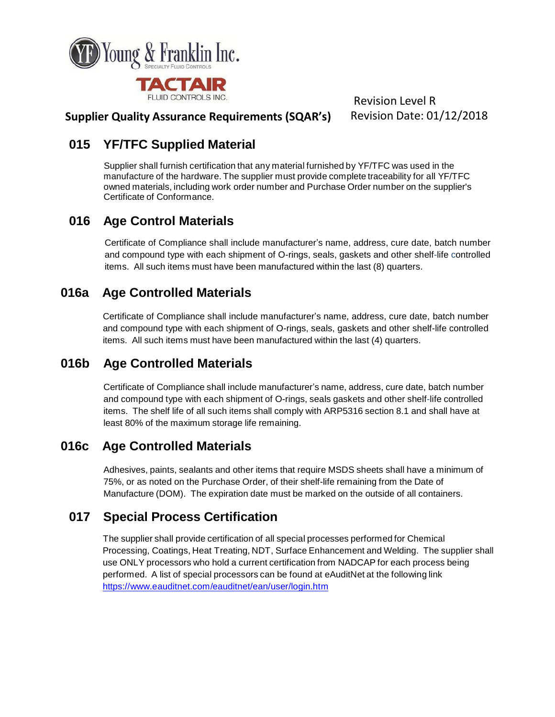

#### **Supplier Quality Assurance Requirements (SQAR's)** Revision Date: 01/12/2018

### **015 YF/TFC Supplied Material**

Supplier shall furnish certification that any material furnished by YF/TFC was used in the manufacture of the hardware. The supplier must provide complete traceability for all YF/TFC owned materials, including work order number and Purchase Order number on the supplier's Certificate of Conformance.

## **016 Age Control Materials**

Certificate of Compliance shall include manufacturer's name, address, cure date, batch number and compound type with each shipment of O-rings, seals, gaskets and other shelf-life controlled items. All such items must have been manufactured within the last (8) quarters.

## **016a Age Controlled Materials**

Certificate of Compliance shall include manufacturer's name, address, cure date, batch number and compound type with each shipment of O-rings, seals, gaskets and other shelf-life controlled items. All such items must have been manufactured within the last (4) quarters.

## **016b Age Controlled Materials**

Certificate of Compliance shall include manufacturer's name, address, cure date, batch number and compound type with each shipment of O-rings, seals gaskets and other shelf-life controlled items. The shelf life of all such items shall comply with ARP5316 section 8.1 and shall have at least 80% of the maximum storage life remaining.

## **016c Age Controlled Materials**

Adhesives, paints, sealants and other items that require MSDS sheets shall have a minimum of 75%, or as noted on the Purchase Order, of their shelf-life remaining from the Date of Manufacture (DOM). The expiration date must be marked on the outside of all containers.

## **017 Special Process Certification**

The supplier shall provide certification of all special processes performed for Chemical Processing, Coatings, Heat Treating, NDT, Surface Enhancement and Welding. The supplier shall use ONLY processors who hold a current certification from NADCAP for each process being performed. A list of special processors can be found at eAuditNet at the following link <https://www.eauditnet.com/eauditnet/ean/user/login.htm>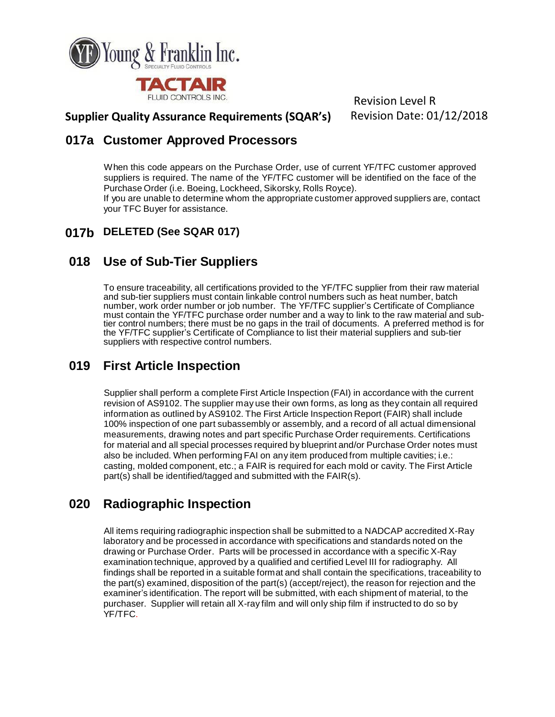

#### **Supplier Quality Assurance Requirements (SQAR's)** Revision Date: 01/12/2018

### **017a Customer Approved Processors**

When this code appears on the Purchase Order, use of current YF/TFC customer approved suppliers is required. The name of the YF/TFC customer will be identified on the face of the Purchase Order (i.e. Boeing, Lockheed, Sikorsky, Rolls Royce).

If you are unable to determine whom the appropriate customer approved suppliers are, contact your TFC Buyer for assistance.

#### **017b DELETED (See SQAR 017)**

### **018 Use of Sub-Tier Suppliers**

To ensure traceability, all certifications provided to the YF/TFC supplier from their raw material and sub-tier suppliers must contain linkable control numbers such as heat number, batch number, work order number or job number. The YF/TFC supplier's Certificate of Compliance must contain the YF/TFC purchase order number and a way to link to the raw material and subtier control numbers; there must be no gaps in the trail of documents. A preferred method is for the YF/TFC supplier's Certificate of Compliance to list their material suppliers and sub-tier suppliers with respective control numbers.

### **019 First Article Inspection**

Supplier shall perform a complete First Article Inspection (FAI) in accordance with the current revision of AS9102. The supplier may use their own forms, as long as they contain all required information as outlined by AS9102. The First Article Inspection Report (FAIR) shall include 100% inspection of one part subassembly or assembly, and a record of all actual dimensional measurements, drawing notes and part specific Purchase Order requirements. Certifications for material and all special processes required by blueprint and/or Purchase Order notes must also be included. When performing FAI on any item produced from multiple cavities; i.e.: casting, molded component, etc.; a FAIR is required for each mold or cavity. The First Article part(s) shall be identified/tagged and submitted with the FAIR(s).

# **020 Radiographic Inspection**

All items requiring radiographic inspection shall be submitted to a NADCAP accredited X-Ray laboratory and be processed in accordance with specifications and standards noted on the drawing or Purchase Order. Parts will be processed in accordance with a specific X-Ray examination technique, approved by a qualified and certified Level III for radiography. All findings shall be reported in a suitable format and shall contain the specifications, traceability to the part(s) examined, disposition of the part(s) (accept/reject), the reason for rejection and the examiner's identification. The report will be submitted, with each shipment of material, to the purchaser. Supplier will retain all X-ray film and will only ship film if instructed to do so by YF/TFC.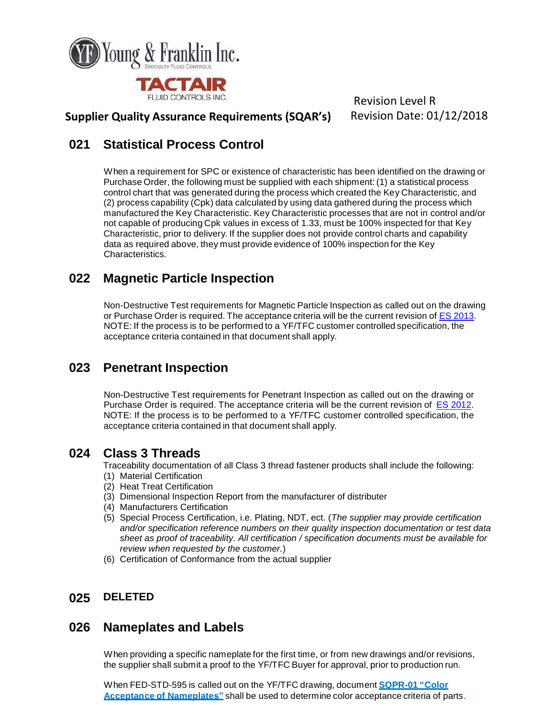

#### **Supplier Quality Assurance Requirements (SQAR's)** Revision Date: 01/12/2018

### **021 Statistical Process Control**

When a requirement for SPC or existence of characteristic has been identified on the drawing or Purchase Order, the following must be supplied with each shipment: (1) a statistical process control chart that was generated during the process which created the Key Characteristic, and (2) process capability (Cpk) data calculated by using data gathered during the process which manufactured the Key Characteristic. Key Characteristic processes that are not in control and/or not capable of producing Cpk values in excess of 1.33, must be 100% inspected for that Key Characteristic, prior to delivery. If the supplier does not provide control charts and capability data as required above, they must provide evidence of 100% inspection for the Key Characteristics.

## **022 Magnetic Particle Inspection**

Non-Destructive Test requirements for Magnetic Particle Inspection as called out on the drawing or Purchase Order is required. The acceptance criteria will be the current revision of ES [2013.](http://www.tactair.com/sites/default/files/ES2013.PDF) NOTE: If the process is to be performed to a YF/TFC customer controlled specification, the acceptance criteria contained in that document shall apply.

## **023 Penetrant Inspection**

Non-Destructive Test requirements for Penetrant Inspection as called out on the drawing or Purchase Order is required. The acceptance criteria will be the current revision of ES [2012.](http://www.tactair.com/sites/default/files/ES2012.PDF) NOTE: If the process is to be performed to a YF/TFC customer controlled specification, the acceptance criteria contained in that document shall apply.

### **024 Class 3 Threads**

Traceability documentation of all Class 3 thread fastener products shall include the following: (1) Material Certification

- (2) Heat Treat Certification
- (3) Dimensional Inspection Report from the manufacturer of distributer
- (4) Manufacturers Certification
- (5) Special Process Certification, i.e. Plating, NDT, ect. (*The supplier may provide certification and/or specification reference numbers on their quality inspection documentation or test data sheet as proof of traceability. All certification / specification documents must be available for review when requested by the customer.*)
- (6) Certification of Conformance from the actual supplier

### **025 DELETED**

### **026 Nameplates and Labels**

When providing a specific nameplate for the first time, or from new drawings and/or revisions, the supplier shall submit a proof to the YF/TFC Buyer for approval, prior to production run.

When FED-STD-595 is called out on the YF/TFC drawing, document **[SQPR-01](http://www.tactair.com/sites/default/files/SQPR-01%20Color%20Acceptance%20of%20Nameplates.pdf) "Color Acceptance of Nameplates"** shall be used to determine color acceptance criteria of parts.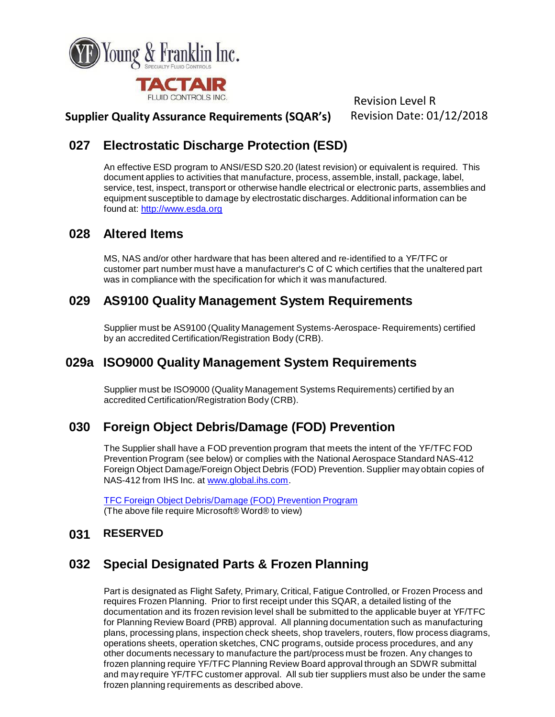

### **Supplier Quality Assurance Requirements (SQAR's)** Revision Date: 01/12/2018

## **027 Electrostatic Discharge Protection (ESD)**

An effective ESD program to ANSI/ESD S20.20 (latest revision) or equivalent is required. This document applies to activities that manufacture, process, assemble, install, package, label, service, test, inspect, transport or otherwise handle electrical or electronic parts, assemblies and equipment susceptible to damage by electrostatic discharges. Additional information can be found at: [http://www.esda.org](http://www.esda.org/)

### **028 Altered Items**

MS, NAS and/or other hardware that has been altered and re-identified to a YF/TFC or customer part number must have a manufacturer's C of C which certifies that the unaltered part was in compliance with the specification for which it was manufactured.

### **029 AS9100 Quality Management System Requirements**

Supplier must be AS9100 (Quality Management Systems-Aerospace- Requirements) certified by an accredited Certification/Registration Body (CRB).

### **029a ISO9000 Quality Management System Requirements**

Supplier must be ISO9000 (Quality Management Systems Requirements) certified by an accredited Certification/Registration Body (CRB).

## **030 Foreign Object Debris/Damage (FOD) Prevention**

The Supplier shall have a FOD prevention program that meets the intent of the YF/TFC FOD Prevention Program (see below) or complies with the National Aerospace Standard NAS-412 Foreign Object Damage/Foreign Object Debris (FOD) Prevention. Supplier may obtain copies of NAS-412 from IHS Inc. at [www.global.ihs.com.](http://www.global.ihs.com/)

TFC Foreign Object [Debris/Damage](http://www.tactair.com/sites/default/files/TFC%20FOD%2030A.doc) (FOD) Prevention Program (The above file require Microsoft® Word® to view)

#### **031 RESERVED**

## **032 Special Designated Parts & Frozen Planning**

Part is designated as Flight Safety, Primary, Critical, Fatigue Controlled, or Frozen Process and requires Frozen Planning. Prior to first receipt under this SQAR, a detailed listing of the documentation and its frozen revision level shall be submitted to the applicable buyer at YF/TFC for Planning Review Board (PRB) approval. All planning documentation such as manufacturing plans, processing plans, inspection check sheets, shop travelers, routers, flow process diagrams, operations sheets, operation sketches, CNC programs, outside process procedures, and any other documents necessary to manufacture the part/process must be frozen. Any changes to frozen planning require YF/TFC Planning Review Board approval through an SDWR submittal and may require YF/TFC customer approval. All sub tier suppliers must also be under the same frozen planning requirements as described above.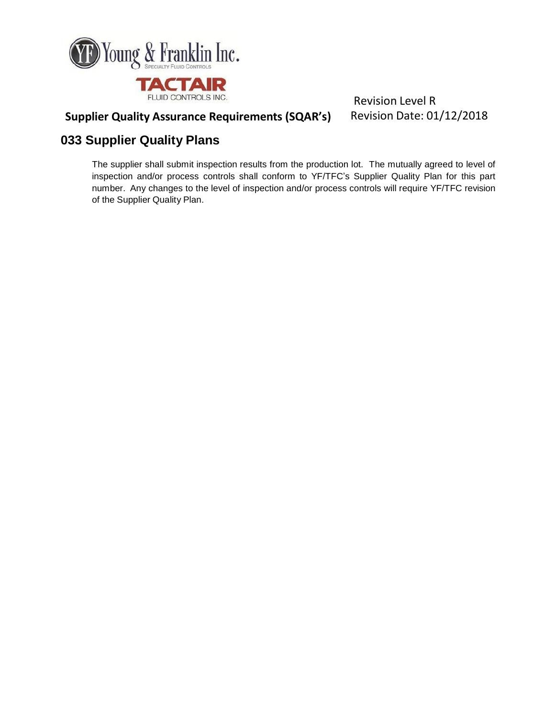

# **Supplier Quality Assurance Requirements (SQAR's)** Revision Date: 01/12/2018

## **033 Supplier Quality Plans**

The supplier shall submit inspection results from the production lot. The mutually agreed to level of inspection and/or process controls shall conform to YF/TFC's Supplier Quality Plan for this part number. Any changes to the level of inspection and/or process controls will require YF/TFC revision of the Supplier Quality Plan.